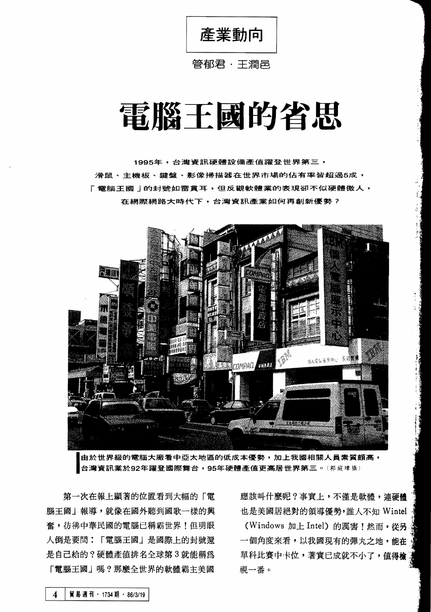產業動向

## 管郁君・干潤邑

# 電腦干國的省思

1995年,台灣資訊硬體設備產值躍登世界第三, 滑鼠、主機板、鍵盤、影像掃描器在世界市場的佔有率皆超過5成, 「雷腦王國」的封號如雷貫耳,但反觀軟體業的表現卻不似硬體傲人, 在網際網路大時代下,台灣資訊產業如何再創新優勢?



由於世界級的電腦大廠看中亞太地區的低成本優勢,加上我國相關人員素質頗高, 台灣資訊業於92年躍登國際舞台,95年硬體產值更高居世界第三。(郭庭瑋攝)

9. 第一次在報上顯著的位置看到大幅的「電 應該叫什麼呢?事實上,不僅是軟體,連硬體<br>.<br>腦王國 | 報導,就像在國外聽到國歌一樣的興 也是美國居絕對的領導優勢,誰人不知 Wintel 腦王國」報導,就像在國外聽到國歌一樣的興 也是美國居絕對的領導優勢,誰人不知 Wintel<br>奮,彷彿中華民國的電腦已稱霸世界!但明眼 (Windows 加上 Intel)的厲害!然而,從另 人倒是要問:「電腦王國」是國際上的封號還 一個角度來看,以我國現有的彈丸之地,能在 是自己給的?硬體產值排名全球第3就能稱為 單科比賽中卡位,著實已成就不小了,值得檢 「電腦王國」嗎?那麼全世界的軟體霸主美國 視一番。

(Windows 加上 Intel) 的厲害!然而, 從另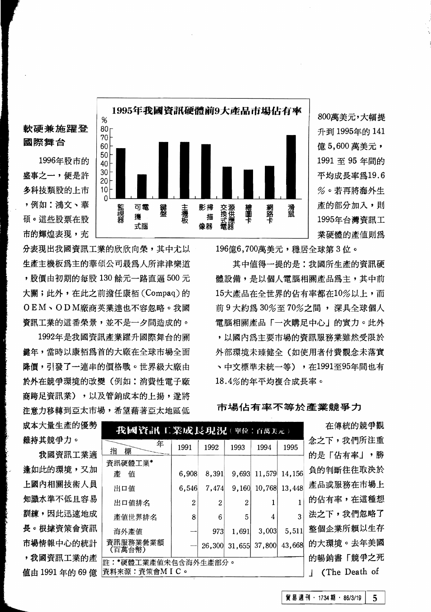軟硬兼施躍登 國際舞台 1996年股市的 盛事之一, 便是許 多科技類股的上市 ,例如:鴻文、華 碩。這些股票在股 市的輝煌表現,充



800萬美元,大幅提 升到 1995年的 141 億 5.600 萬美元, 1991 至 95 年間的 平均成長率為19.6 %。若再將海外生 産的部分加入,則 1995年台灣資訊工 業硬體的產值則為

分表現出我國資訊工業的欣欣向榮,其中尤以 生產主機板為主的華碩公司最為人所津津樂道 , 股價由初期的每股 130 餘元一路直逼 500 元 大關;此外,在此之前擔任康栢(Compaq)的 OEM、ODM廠商英業達也不容忽略。我國 **資訊工業的這番榮景,並不是一夕間浩成的。** 

1992年是我國資訊產業躍升國際舞台的關 鍵年,當時以康栢爲首的大廠在全球市場全面 降價,引發了一連串的價格戰。世界級大廠由 於外在競爭環境的改變(例如:消費性電子廠 商路足資訊業),以及管銷成本的上揚, 漆將 注意力移轉到亞太市場,希望藉著亞太地區低

196億6,700萬美元,穩居全球第3位。

其中值得一提的是:我國所生產的資訊硬 體設備,是以個人電腦相關產品為主,其中前 15大產品在全世界的佔有率都在10%以上,而 前9大約為30%至70%之間, 深具全球個人 電腦相關產品「一次購足中心」的實力。此外 , 以國內為主要市場的資訊服務業雖然受限於 外部環境未臻健全(如使用者付費觀念未落實 、中文標準未統一等),在1991至95年間也有 18.4%的年平均複合成長率。

成本大量生產的優勢 維持其競爭力。

我國資訊工業適 逢如此的環境,又加 上國內相關技術人員 知識水準不低且容易 訓練,因此迅速地成 長。根據資策會資訊 市場情報中心的統計 ,我國資訊工業的產 值由 1991 年的 69 億 |

| 我國資訊工業成長現況(平位:百萬美元)                 |       |        |        |        |        |  |  |  |  |  |
|-------------------------------------|-------|--------|--------|--------|--------|--|--|--|--|--|
| 年<br>指<br>標                         | 1991  | 1992   | 1993   | 1994   | 1995   |  |  |  |  |  |
| 資訊硬體工業*                             |       |        |        |        |        |  |  |  |  |  |
| 牽<br>值                              | 6,908 | 8,391  | 9.693  | 11,579 | 14,156 |  |  |  |  |  |
| 出口値                                 | 6,546 | 7,474  | 9,160  | 10,768 | 13,448 |  |  |  |  |  |
| 出口値排名                               | 2     | 2      | 2      |        |        |  |  |  |  |  |
| 產值世界排名                              | 8     | 6      | 5      | 4      | 3      |  |  |  |  |  |
| 海外產值                                |       | 973    | 1,691  | 3,003  | 5,511  |  |  |  |  |  |
| 資訊服務業營業額<br>(百萬台幣)                  |       | 26,300 | 31,655 | 37,800 | 43,668 |  |  |  |  |  |
| 註:*硬體工業產值未包含海外生產部分。<br>資料來源:資策會MIC。 |       |        |        |        |        |  |  |  |  |  |

市場佔有率不等於產業競爭力

在傳統的競爭觀 念之下,我們所注重 的是「佔有率」,勝 負的判斷往往取決於 產品或服務在市場上 的佔有率,在這種想 法之下,我們忽略了 整個企業所賴以生存 的大環境。去年美國 的暢銷書「競爭之死 | (The Death of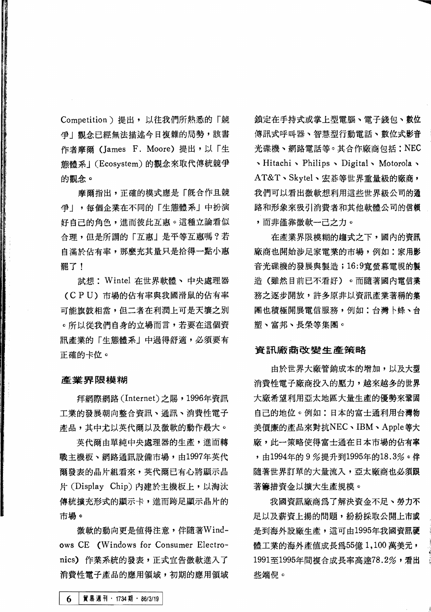Competition) 提出, 以往我們所熟悉的「競 争!觀念已經無法描述今日複雜的局勢,該書 作者摩爾 (James F. Moore) 提出,以「生 熊體系」(Ecosystem)的觀念來取代傳統競爭 的觀念。

摩爾指出,正確的模式應是「既合作且競 爭」,每個企業在不同的「生態體系」中扮演 好自己的角色, 淮而彼此互惠。這種立論看似 合理,但是所謂的「互惠」是平等互惠嗎?若 白温於佔有率,那麼充其量只是拾得一點小惠 罷了!

試想: Wintel 在世界軟體、中央處理器 (CPU) 市場的佔有率與我國滑鼠的佔有率 可能旗鼓相當,但二者在利潤上可是天壤之別 。所以從我們自身的立場而言,若要在這個資 訊產業的「生態體系」中過得舒適,必須要有 正確的卡位。

### 產業界限模糊

拜網際網路 (Internet) 之賜,1996年資訊 工業的發展朝向整合資訊、通訊、消費性電子 產品,其中尤以英代爾以及微軟的動作最大。

英代爾由單純中央處理器的生產,進而轉 戰主機板、網路通訊設備市場,由1997年英代 爾發表的晶片組看來,英代爾已有心將顯示晶 片 (Display Chip) 内建於主機板上, 以淘汰 傳統攜充形式的顯示卡,淮而跨足顯示晶片的 市場。

微軟的動向更是值得注意,伴隨著Windows CE (Windows for Consumer Electronics) 作業系統的發表,正式宣告微軟進入了 消費性電子產品的應用領域,初期的應用領域 鎖定在手持式或掌上型雷腦、雷子錢包、數位 傳訊式呼叫器、智慧型行動雷話、數位式影音 光碟機、網路電話等。其合作廠商句括: NEC Notorola > Philips > Digital > Motorola > AT&T、Skytel、宏碁等世界重量級的廠商, 我們可以看出微軟想利用這些世界級公司的通 路和形象來吸引消費者和其他軟體公司的信賴 ,而非僅靠微軟一己之力。

在產業界限模糊的趨式之下,國內的資訊 廠商也開始涉足家電業的市場,例如:家用影 音光碟機的發展與製造;16:9寬螢幕電視的製 造(雖然目前已不看好)。而隨著國內電信業 務之逐步開放,許多原非以資訊產業著稱的集 團也積極開展電信服務,例如:台灣卜蜂、台 塑、富邦、長榮等集團。

#### 資訊廠商改變生產策略

由於世界大廠管銷成本的增加,以及大型 消費性電子廠商投入的壓力,越來越多的世界 大廠希望利用亞太地區大量生產的優勢來鞏固 自己的地位。例如:日本的富士通利用台灣物 美價廉的產品來對抗NEC、IBM、Apple等大 廠,此一策略使得富士通在日本市場的佔有率 , 由1994年的9%提升到1995年的18.3%。伴 隨著世界訂單的大量流入,亞太廠商也必須跟 著籌措資金以擴大生產規模。

我國資訊廠商為了解決資金不足、勞力不 足以及薪資上揚的問題,紛紛採取公開上市或 是到海外設廠生產,這可由1995年我國資訊硬 體工業的海外產值成長為55億1,100萬美元, 1991至1995年間複合成長率高達78.2%,看出 些端倪。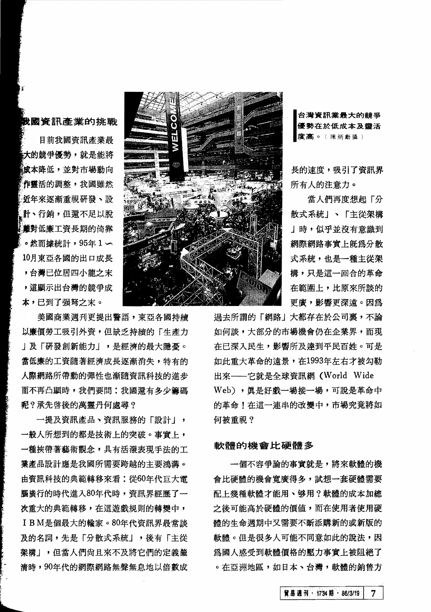## **黢國資訊產業的挑戰**

目前我國資訊產業最 \*大的競爭優勢,就是能將 《成本隆低,並對市場動向 作靈活的調整,我國雖然 近年來逐漸重視研發、設 計、行銷,但還不足以脫 道对低廉工資長期的倚靠 。然而據統計,95年1〜 10月東亞各國的出口成長 ,台灣已位居四小龍之末 , 這顯示出台灣的競爭成 本,已到了强弩之末。

美國商業週刊更提出警語,東亞各國持續 以廉價勞工吸引外資,但缺乏持續的「生產力 」及「研發創新能力」,是經濟的最大隱憂。 當低廉的工資隨著經濟成長逐漸消失,特有的 人際網路所帶動的彈性也漸隨資訊科技的進步 而不再凸顯時,我們要問:我國還有多少籌碼 呢? 承先啓後的萬靈丹何處尋?

一提及資訊產品、資訊服務的「設計」, 一般人所想到的都是技術上的突破。事實上, 一種挾帶著藝術觀念,具有活潑表現手法的工 業產品設計應是我國所需要跨越的主要鴻溝。 由資訊科技的典範轉移來看:從60年代巨大電 腦廣行的時代進入80年代時, 資訊界經歷了一 次重大的典範轉移,在這游戲規則的轉變中, I B M是個最大的輸家。80年代資訊界最常談 及的名詞,先是「分散式系統」,後有「主從 架構」,但當人們尙且來不及將它們的定義釐 清時,90年代的網際網路無聲無息地以倍數成

~



古像度 台灣資訊業最大的體爭 優勢在於低成本及靈活 (陳炳動攝)

長的速度,吸引了資訊界 所有人的注意力。

當人們再度想起「分 散式系統」、「主從架構 」時,似乎並沒有意識到 網際網路事實上既為分散 式系統,也是一種主從架 構,只是這一回合的革命 在範圍上, 比原來所談的 更廣,影響更深遠。因爲

過去所謂的「網路」大都存在於公司裏,不論 如何談,大部分的市場機會仍在企業界,而現 在已深入民生,影響所及達到平民百姓。可是 如此重大革命的遠景,在1993年左右才被勾勒 出來––它就是全球資訊網 (World Wide Web), 慎是好戲一場接一場, 可說是革命中 的革命!在這一連串的改變中,市場究竟將如 何被重視?

### 軟體的機會比硬體多

一個不容爭論的事實就是,將來軟體的機 會比硬體的機會寬廣得多,試想一套硬體需要 配上幾種軟體才能用、够用?軟體的成本加總 之後可能高於硬體的價值,而在使用者使用硬 體的生命週期中又需要不斷添購新的或新版的 軟體。但是很多人可能不同意如此的說法,因 爲國人感受到軟體價格的壓力事實上被阻絕了 。在亞洲地區,如日本、台灣,軟體的銷售方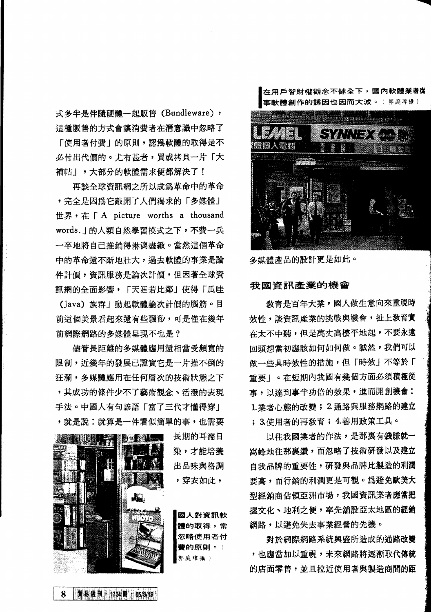式多半是伴隨硬體一起販售(Bundleware), 這種販售的方式會讓消費者在潛意識中忽略了 「使用者付費」的原則,認為軟體的取得是不 必付出代價的。尤有甚者,買或拷貝一片「大 補帖!,大部分的軟體需求便都解決了!

再談全球資訊網之所以成爲革命中的革命 , 完全是因為它敲開了人們渴求的「多媒體」 世界, 在「A picture worths a thousand words. | 的人類自然學習模式之下,不費一兵 一卒地將自己推銷得淋漓盡緻。當然這個革命 中的革命還不斷地壯大, 過去軟體的事業是論 件計價, 資訊服務是論次計價,但因著全球資 訊網的全面影響,「天涯若比鄰」使得「瓜哇 (Java) 族群」動起軟體論次計價的腦筋。目

前這個美景看起來還有些飄渺,可是僅在幾年 前網際網路的多媒體呈現不也是?

儘管長距離的多媒體應用還相當受頻寬的 限制,近幾年的發展已證實它是一片推不倒的 狂瀾,多媒體應用在任何層次的技術狀態之下 ,其成功的條件少不了藝術觀念、活潑的表現 手法。中國人有句諺語「富了三代才懂得穿」 , 就是說:就算是一件看似簡單的事, 也需要



賀易通刊 1734期 186/3/19

8

在用戶智財權觀念不健全下,國內軟體<mark>業者從</mark><br>事軟體創作的誘因也因而大減。(郭庭準<sup>攝)</sup>



多媒體產品的設計更是如此。<br>**<br>我國資訊產業的機會** 

教育是百年大業,國人做生意向來重視時 效性,談資訊產業的挑戰與機會,扯上教育實 在太不中聽,但是萬丈高樓平地起,不要永遠 回頭想當初應該如何如何做。誠然,我們可以 做一些具時效性的措施,但「時效」不等於「 重要!。在短期內我國有幾個方面必須積極從 事,以達到事半功倍的效果,進而開創機會: 1. 業者心態的改變; 2. 通路與服務網路的建立 ; 3. 使用者的再数育; 4. 善用政策工具。

以往我國業者的作法,是那裏有錢賺就一 窩蜂地往那裏鑽,而忽略了技術研發以及建立 白我品牌的重要性,研發與品牌比製造的利潤 要高,而行銷的利潤更是可觀。為避免歐美大 型經銷商佔領亞洲市場,我國資訊業者應當把 握文化、地利之便,率先舖設亞太地區的**經銷** 網路,以避免失去事業經營的先機。

對於網際網路系統與盛所造成的通路改變 , 也應當加以重視, 未來網路將逐漸取代傳統 的店面零售,並且拉近使用者與製造商間的距